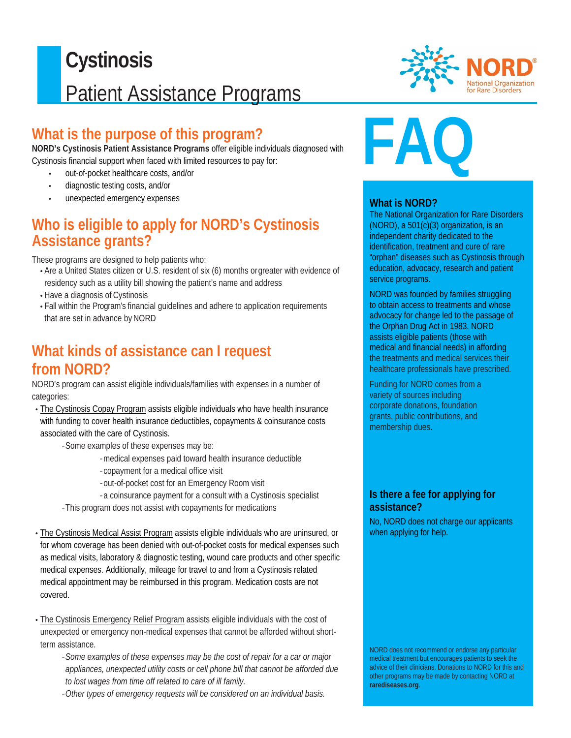## $\overline{a}$ **Cystinosis** Patient Assistance Programs

## **What is the purpose of this program?**

**NORD's Cystinosis Patient Assistance Programs** offer eligible individuals diagnosed with Cystinosis financial support when faced with limited resources to pay for:

- out-of-pocket healthcare costs, and/or
- diagnostic testing costs, and/or
- unexpected emergency expenses

## **Who is eligible to apply for NORD's Cystinosis Assistance grants?**

These programs are designed to help patients who:

- Are a United States citizen or U.S. resident of six (6) months orgreater with evidence of residency such as a utility bill showing the patient's name and address
- Have a diagnosis of Cystinosis
- Fall within the Program's financial guidelines and adhere to application requirements that are set in advance by NORD

## **What kinds of assistance can I request from NORD?**

NORD's program can assist eligible individuals/families with expenses in a number of categories:

- The Cystinosis Copay Program assists eligible individuals who have health insurance with funding to cover health insurance deductibles, copayments & coinsurance costs associated with the care of Cystinosis.
	- Some examples of these expenses may be:
		- medical expenses paid toward health insurance deductible
		- copayment for a medical office visit
		- out-of-pocket cost for an Emergency Room visit
		- a coinsurance payment for a consult with a Cystinosis specialist
	- This program does not assist with copayments for medications
- The Cystinosis Medical Assist Program assists eligible individuals who are uninsured, or for whom coverage has been denied with out-of-pocket costs for medical expenses such as medical visits, laboratory & diagnostic testing, wound care products and other specific medical expenses. Additionally, mileage for travel to and from a Cystinosis related medical appointment may be reimbursed in this program. Medication costs are not covered.
- The Cystinosis Emergency Relief Program assists eligible individuals with the cost of unexpected or emergency non-medical expenses that cannot be afforded without shortterm assistance.
	- *Some examples of these expenses may be the cost of repair for a car or major appliances, unexpected utility costs or cell phone bill that cannot be afforded due to lost wages from time off related to care of ill family.*
	- -*Other types of emergency requests will be considered on an individual basis.*



# **FAQ**

#### **What is NORD?**

The National Organization for Rare Disorders (NORD), a 501(c)(3) organization, is an independent charity dedicated to the identification, treatment and cure of rare "orphan" diseases such as Cystinosis through education, advocacy, research and patient service programs.

NORD was founded by families struggling to obtain access to treatments and whose advocacy for change led to the passage of the Orphan Drug Act in 1983. NORD assists eligible patients (those with medical and financial needs) in affording the treatments and medical services their healthcare professionals have prescribed.

Funding for NORD comes from a variety of sources including corporate donations, foundation grants, public contributions, and membership dues.

#### **Is there a fee for applying for assistance?**

No, NORD does not charge our applicants when applying for help.

NORD does not recommend or endorse any particular medical treatment but encourages patients to seek the advice of their clinicians. Donations to NORD for this and other programs may be made by contacting NORD at **rarediseases.org**.